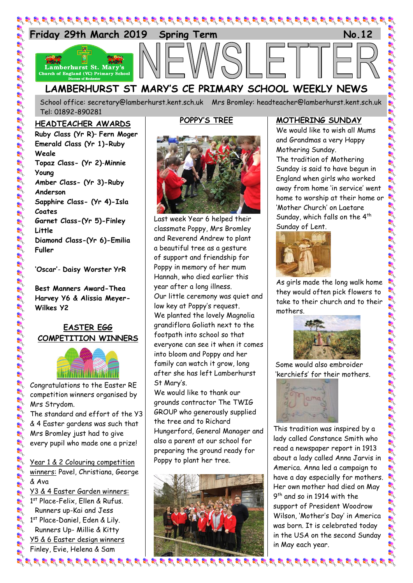

School office: [secretary@lamberhurst.kent.sch.uk](mailto:secretary@lamberhurst.kent.sch.uk) Mrs Bromley: headteacher@lamberhurst.kent.sch.uk Tel: 01892-890281

#### **HEADTEACHER AWARDS**

**Ruby Class (Yr R)**– **Fern Moger Emerald Class (Yr 1)-Ruby Weale Topaz Class- (Yr 2)**-**Minnie Young Amber Class- (Yr 3)-Ruby Anderson Sapphire Class- (Yr 4)-Isla Coates Garnet Class-(Yr 5)-Finley Little Diamond Class-(Yr 6)-Emilia Fuller**

**'Oscar'**- **Daisy Worster YrR** 

**Best Manners Award-Thea Harvey Y6 & Alissia Meyer-Wilkes Y2**

# **EASTER EGG COMPETITION WINNERS**



Congratulations to the Easter RE competition winners organised by Mrs Strydom.

The standard and effort of the Y3 & 4 Easter gardens was such that Mrs Bromley just had to give every pupil who made one a prize!

Year 1 & 2 Colouring competition winners: Pavel, Christiana, George & Ava Y3 & 4 Easter Garden winners: 1 st Place-Felix, Ellen & Rufus. Runners up-Kai and Jess 1<sup>st</sup> Place-Daniel, Eden & Lily. Runners Up- Millie & Kitty Y5 & 6 Easter design winners

Finley, Evie, Helena & Sam

## **POPPY'S TREE**



Last week Year 6 helped their classmate Poppy, Mrs Bromley and Reverend Andrew to plant a beautiful tree as a gesture of support and friendship for Poppy in memory of her mum Hannah, who died earlier this year after a long illness. Our little ceremony was quiet and low key at Poppy's request. We planted the lovely Magnolia grandiflora Goliath next to the footpath into school so that everyone can see it when it comes into bloom and Poppy and her family can watch it grow, long after she has left Lamberhurst St Mary's.

We would like to thank our grounds contractor The TWIG GROUP who generously supplied the tree and to Richard Hungerford, General Manager and also a parent at our school for preparing the ground ready for Poppy to plant her tree.



#### **MOTHERING SUNDAY**

We would like to wish all Mums and Grandmas a very Happy Mothering Sunday. The tradition of Mothering Sunday is said to have begun in England when girls who worked away from home 'in service' went home to worship at their home or 'Mother Church' on Laetare Sunday, which falls on the  $4<sup>th</sup>$ Sunday of Lent.



As girls made the long walk home they would often pick flowers to take to their church and to their mothers.



Some would also embroider 'kerchiefs' for their mothers.



This tradition was inspired by a lady called Constance Smith who read a newspaper report in 1913 about a lady called Anna Jarvis in America. Anna led a campaign to have a day especially for mothers. Her own mother had died on May 9 th and so in 1914 with the support of President Woodrow Wilson, 'Mother's Day' in America was born. It is celebrated today in the USA on the second Sunday in May each year.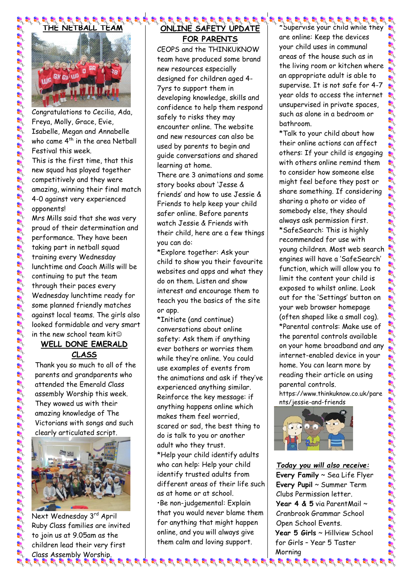

Congratulations to Cecilia, Ada, Freya, Molly, Grace, Evie, Isabelle, Megan and Annabelle who came  $4^{th}$  in the area Netball Festival this week.

This is the first time, that this new squad has played together competitively and they were amazing, winning their final match 4-0 against very experienced opponents!

Mrs Mills said that she was very proud of their determination and performance. They have been taking part in netball squad training every Wednesday lunchtime and Coach Mills will be continuing to put the team through their paces every Wednesday lunchtime ready for some planned friendly matches against local teams. The girls also looked formidable and very smart in the new school team kit

## **WELL DONE EMERALD CLASS**

Thank you so much to all of the parents and grandparents who attended the Emerald Class assembly Worship this week. They wowed us with their amazing knowledge of The Victorians with songs and such clearly articulated script.



Next Wednesday 3rd April Ruby Class families are invited to join us at 9.05am as the children lead their very first Class Assembly Worship.

### 3 3 4 3 4 3 4 3 4 3 4 3 4 3 4 3 4 **ONLINE SAFETY UPDATE FOR PARENTS**

CEOPS and the THINKUKNOW team have produced some brand new resources especially designed for children aged 4- 7yrs to support them in developing knowledge, skills and confidence to help them respond safely to risks they may encounter online. The website and new resources can also be used by parents to begin and guide conversations and shared learning at home.

There are 3 animations and some story books about 'Jesse & friends' and how to use Jessie & Friends to help keep your child safer online. Before parents watch Jessie & Friends with their child, here are a few things you can do:

\*Explore together: Ask your child to show you their favourite websites and apps and what they do on them. Listen and show interest and encourage them to teach you the basics of the site or app.

\*Initiate (and continue) conversations about online safety: Ask them if anything ever bothers or worries them while they're online. You could use examples of events from the animations and ask if they've experienced anything similar. Reinforce the key message: if anything happens online which makes them feel worried, scared or sad, the best thing to do is talk to you or another adult who they trust. \*Help your child identify adults who can help: Help your child identify trusted adults from different areas of their life such as at home or at school. •Be non-judgemental: Explain that you would never blame them for anything that might happen online, and you will always give them calm and loving support.

Supervise your child while they are online: Keep the devices your child uses in communal areas of the house such as in the living room or kitchen where an appropriate adult is able to supervise. It is not safe for 4-7 year olds to access the internet unsupervised in private spaces, such as alone in a bedroom or bathroom.

**85, 85, 85, 85, 85, 85, 85, 85, 85,** 

\*Talk to your child about how their online actions can affect others: If your child is engaging with others online remind them to consider how someone else might feel before they post or share something. If considering sharing a photo or video of somebody else, they should always ask permission first. \*SafeSearch: This is highly recommended for use with young children. Most web search engines will have a 'SafeSearch' function, which will allow you to limit the content your child is exposed to whilst online. Look out for the 'Settings' button on your web browser homepage (often shaped like a small cog). \*Parental controls: Make use of the parental controls available on your home broadband and any internet-enabled device in your home. You can learn more by reading their article on using parental controls.

https://www.thinkuknow.co.uk/pare nts/jessie-and-friends



*Today you will also receive:* **Every Family** ~ Sea Life Flyer **Every Pupil** ~ Summer Term Clubs Permission letter. **Year 4 & 5** via ParentMail ~ Cranbrook Grammar School Open School Events. **Year 5 Girls** ~ Hillview School for Girls – Year 5 Taster **Morning**